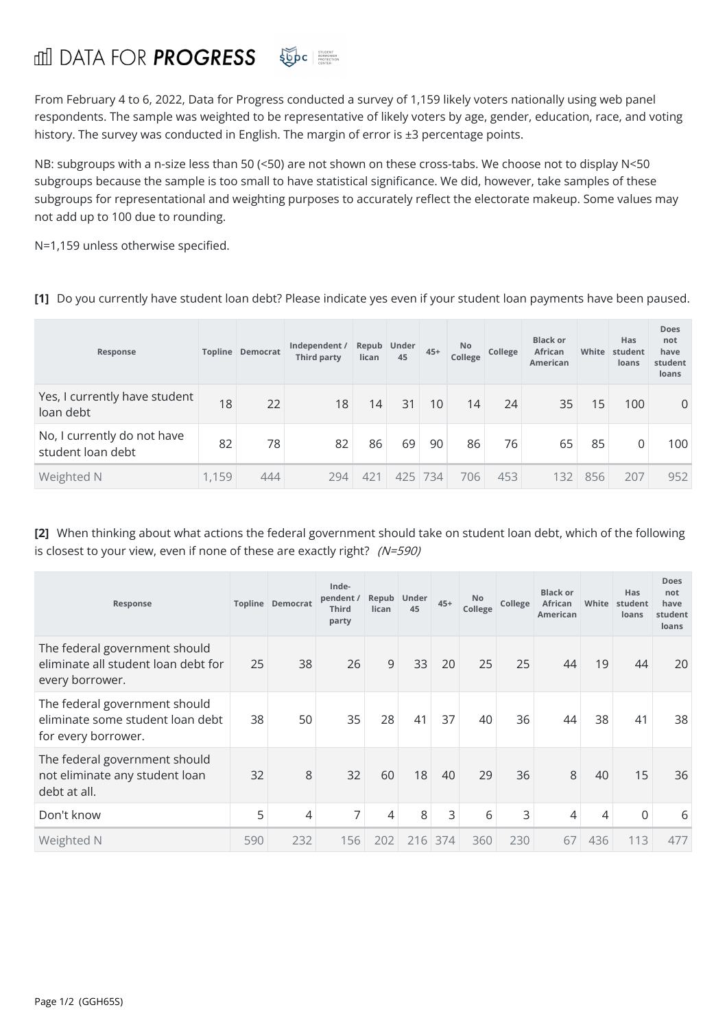## **for PROGRESS** SUDC STUDENT

From February 4 to 6, 2022, Data for Progress conducted a survey of 1,159 likely voters nationally using web panel respondents. The sample was weighted to be representative of likely voters by age, gender, education, race, and voting history. The survey was conducted in English. The margin of error is ±3 percentage points.

NB: subgroups with a n-size less than 50 (<50) are not shown on these cross-tabs. We choose not to display N<50 subgroups because the sample is too small to have statistical significance. We did, however, take samples of these subgroups for representational and weighting purposes to accurately reflect the electorate makeup. Some values may not add up to 100 due to rounding.

N=1,159 unless otherwise specified.

**[1]** Do you currently have student loan debt? Please indicate yes even if your student loan payments have been paused.

| Response                                         |       | <b>Topline Democrat</b> | Independent /<br><b>Third party</b> | lican           | Repub Under<br>45 | $45+$ | <b>No</b><br>College | College | <b>Black or</b><br><b>African</b><br>American | White           | Has<br>student<br>loans | Does<br>not<br>have<br>student<br>loans |
|--------------------------------------------------|-------|-------------------------|-------------------------------------|-----------------|-------------------|-------|----------------------|---------|-----------------------------------------------|-----------------|-------------------------|-----------------------------------------|
| Yes, I currently have student<br>loan debt       | 18    | 22                      | 18                                  | 14              | 31                | 10    | 14                   | 24      | 35                                            | 15 <sub>1</sub> | 100                     | 0                                       |
| No, I currently do not have<br>student loan debt | 82    | 78                      | 82                                  | 86              | 69                | 90    | 86                   | 76      | 65                                            | 85              | 0                       | 100                                     |
| Weighted N                                       | 1,159 | 444                     | 294                                 | 42 <sup>1</sup> | 425               | 734   | 706                  | 453     | 132                                           | 856             | 207                     | 952                                     |

**[2]** When thinking about what actions the federal government should take on student loan debt, which of the following is closest to your view, even if none of these are exactly right?  $(N=590)$ 

| Response                                                                                 |     | <b>Topline Democrat</b> | Inde-<br>pendent/<br><b>Third</b><br>party | Repub<br>lican | Under<br>45 | $45+$ | <b>No</b><br>College | College | <b>Black or</b><br>African<br><b>American</b> | White | <b>Has</b><br>student<br>loans | <b>Does</b><br>not<br>have<br>student<br>loans |
|------------------------------------------------------------------------------------------|-----|-------------------------|--------------------------------------------|----------------|-------------|-------|----------------------|---------|-----------------------------------------------|-------|--------------------------------|------------------------------------------------|
| The federal government should<br>eliminate all student loan debt for<br>every borrower.  | 25  | 38                      | 26                                         | 9              | 33          | 20    | 25                   | 25      | 44                                            | 19    | 44                             | 20                                             |
| The federal government should<br>eliminate some student loan debt<br>for every borrower. | 38  | 50                      | 35                                         | 28             | 41          | 37    | 40                   | 36      | 44                                            | 38    | 41                             | 38                                             |
| The federal government should<br>not eliminate any student loan<br>debt at all.          | 32  | 8                       | 32                                         | 60             | 18          | 40    | 29                   | 36      | 8                                             | 40    | 15                             | 36                                             |
| Don't know                                                                               | 5   | 4                       | 7                                          | $\overline{4}$ | 8           | 3     | 6                    | 3       | 4                                             | 4     | 0                              | 6                                              |
| Weighted N                                                                               | 590 | 232                     | 156                                        | 202            | 216         | 374   | 360                  | 230     | 67                                            | 436   | 113                            | 477                                            |